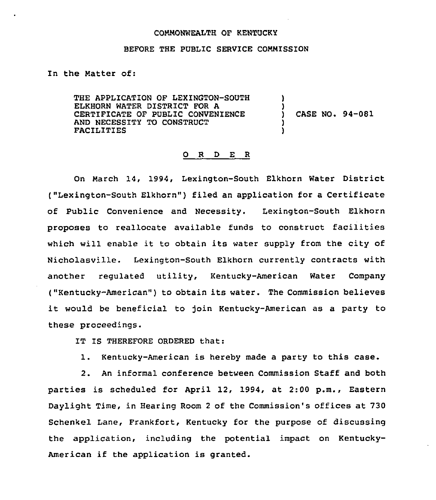## COMMONWEALTH OF KENTUCKY

## BEFORE THE PUBLIC SERVICE COMMISSION

ln the Matter of:

THE APPLICATION OF LEXINGTON-SOUTH ELKHORN WATER DISTRICT FOR A CERTIFICATE OF PUBLIC CONVENIENCE AND NECESSITY TO CONSTRUCT FACILITIES

) CASE NO. 94-081

) )

> ) )

## 0 <sup>R</sup> <sup>D</sup> E <sup>R</sup>

On March 14, 1994, Lexington-South Elkhorn Water District ("Lexington-South Elkhorn") filed an application for <sup>a</sup> Certificate of Public Convenience and Necessity. Lexington-South Elkhorn proposes to reallocate available funds to construct facilities which will enable it to obtain its water supply from the city of Nicholasville. Lexington-South Elkhorn currently contracts with another regulated utility, Kentucky-American Water Company ("Kentucky-American") to obtain its water. The Commission believe it would be beneficial to join Kentucky-American as <sup>a</sup> party to these proceedings.

IT IS THEREFORE ORDERED that:

l. Kentucky-American is hereby made <sup>a</sup> party to this case.

2. An informal conference between Commission Staff and both parties is scheduled for April 12, 1994, at 2:00 p.m., Eastern Daylight Time, in Hearing Room <sup>2</sup> of the Commission's offices at 730 Schenkel Lane, Frankfort, Kentucky for the purpose of discussing the application, including the potential impact on Kentucky-American if the application is granted.